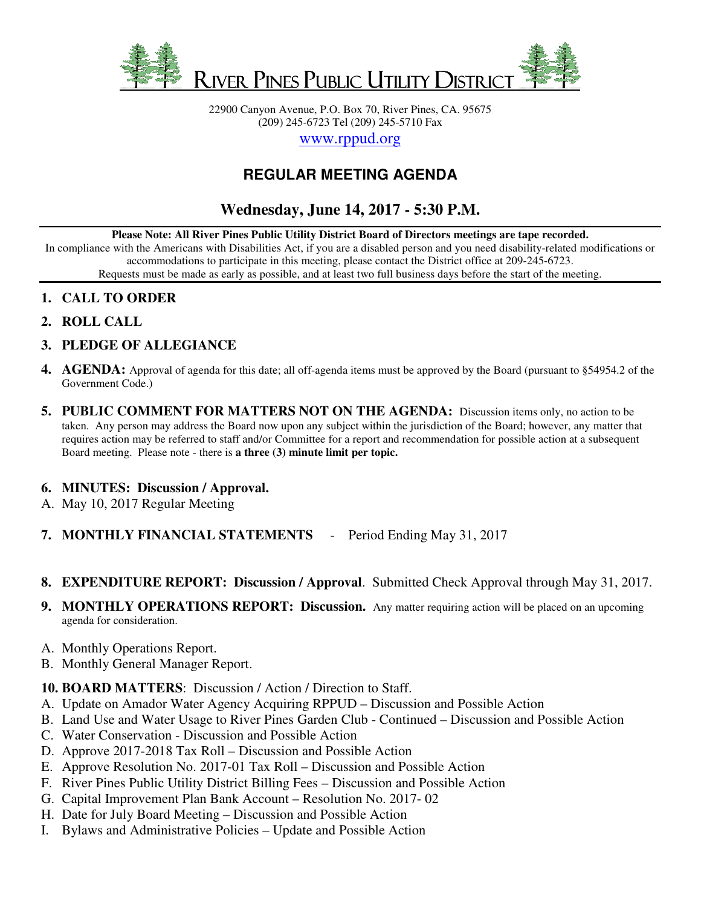

22900 Canyon Avenue, P.O. Box 70, River Pines, CA. 95675 (209) 245-6723 Tel (209) 245-5710 Fax

www.rppud.org

## **REGULAR MEETING AGENDA**

## **Wednesday, June 14, 2017 - 5:30 P.M.**

**Please Note: All River Pines Public Utility District Board of Directors meetings are tape recorded.**

In compliance with the Americans with Disabilities Act, if you are a disabled person and you need disability-related modifications or accommodations to participate in this meeting, please contact the District office at 209-245-6723.

Requests must be made as early as possible, and at least two full business days before the start of the meeting.

- **1. CALL TO ORDER**
- **2. ROLL CALL**
- **3. PLEDGE OF ALLEGIANCE**
- **4. AGENDA:** Approval of agenda for this date; all off-agenda items must be approved by the Board (pursuant to §54954.2 of the Government Code.)
- **5. PUBLIC COMMENT FOR MATTERS NOT ON THE AGENDA:** Discussion items only, no action to be taken. Any person may address the Board now upon any subject within the jurisdiction of the Board; however, any matter that requires action may be referred to staff and/or Committee for a report and recommendation for possible action at a subsequent Board meeting. Please note - there is **a three (3) minute limit per topic.**

## **6. MINUTES: Discussion / Approval.**

A. May 10, 2017 Regular Meeting

**7. MONTHLY FINANCIAL STATEMENTS** - Period Ending May 31, 2017

- **8. EXPENDITURE REPORT: Discussion / Approval**. Submitted Check Approval through May 31, 2017.
- **9. MONTHLY OPERATIONS REPORT: Discussion.** Any matter requiring action will be placed on an upcoming agenda for consideration.
- A. Monthly Operations Report.
- B. Monthly General Manager Report.
- **10. BOARD MATTERS**: Discussion / Action / Direction to Staff.
- A. Update on Amador Water Agency Acquiring RPPUD Discussion and Possible Action
- B. Land Use and Water Usage to River Pines Garden Club Continued Discussion and Possible Action
- C. Water Conservation Discussion and Possible Action
- D. Approve 2017-2018 Tax Roll Discussion and Possible Action
- E. Approve Resolution No. 2017-01 Tax Roll Discussion and Possible Action
- F. River Pines Public Utility District Billing Fees Discussion and Possible Action
- G. Capital Improvement Plan Bank Account Resolution No. 2017- 02
- H. Date for July Board Meeting Discussion and Possible Action
- I. Bylaws and Administrative Policies Update and Possible Action